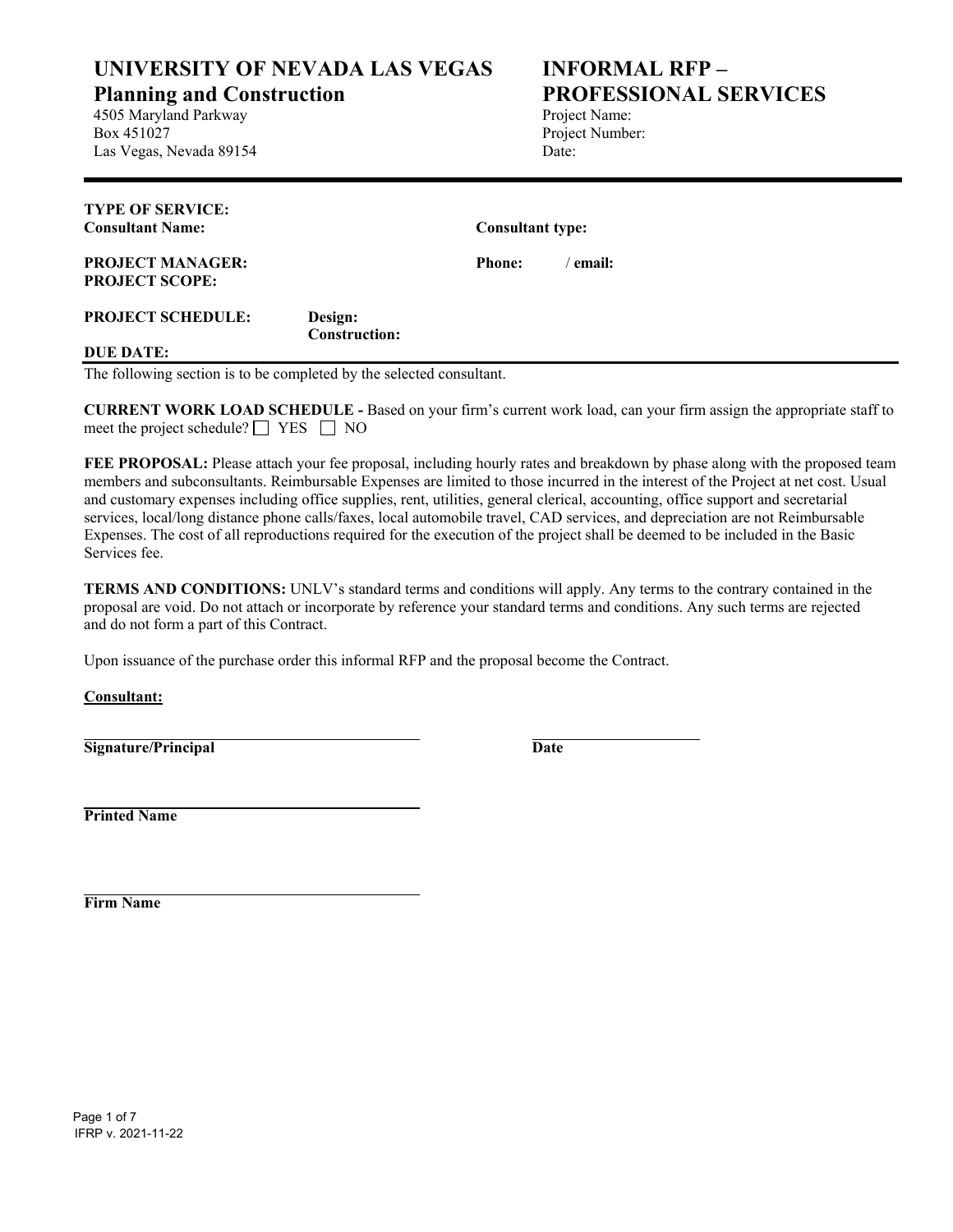**UNIVERSITY OF NEVADA LAS VEGAS**

**Planning and Construction**

4505 Maryland Parkway Box 451027 Las Vegas, Nevada 89154

## **INFORMAL RFP – PROFESSIONAL SERVICES**

Project Name: Project Number: Date:

| <b>TYPE OF SERVICE:</b><br><b>Consultant Name:</b> |                                 | <b>Consultant type:</b> |                  |
|----------------------------------------------------|---------------------------------|-------------------------|------------------|
| <b>PROJECT MANAGER:</b><br><b>PROJECT SCOPE:</b>   |                                 | <b>Phone:</b>           | $^\prime$ email: |
| <b>PROJECT SCHEDULE:</b>                           | Design:<br><b>Construction:</b> |                         |                  |
| <b>DUE DATE:</b>                                   |                                 |                         |                  |

The following section is to be completed by the selected consultant.

**CURRENT WORK LOAD SCHEDULE -** Based on your firm's current work load, can your firm assign the appropriate staff to meet the project schedule?  $\Box$  YES  $\Box$  NO

**FEE PROPOSAL:** Please attach your fee proposal, including hourly rates and breakdown by phase along with the proposed team members and subconsultants. Reimbursable Expenses are limited to those incurred in the interest of the Project at net cost. Usual and customary expenses including office supplies, rent, utilities, general clerical, accounting, office support and secretarial services, local/long distance phone calls/faxes, local automobile travel, CAD services, and depreciation are not Reimbursable Expenses. The cost of all reproductions required for the execution of the project shall be deemed to be included in the Basic Services fee.

**TERMS AND CONDITIONS:** UNLV's standard terms and conditions will apply. Any terms to the contrary contained in the proposal are void. Do not attach or incorporate by reference your standard terms and conditions. Any such terms are rejected and do not form a part of this Contract.

Upon issuance of the purchase order this informal RFP and the proposal become the Contract.

**Consultant:**

**Signature/Principal Date**

**Printed Name**

**Firm Name**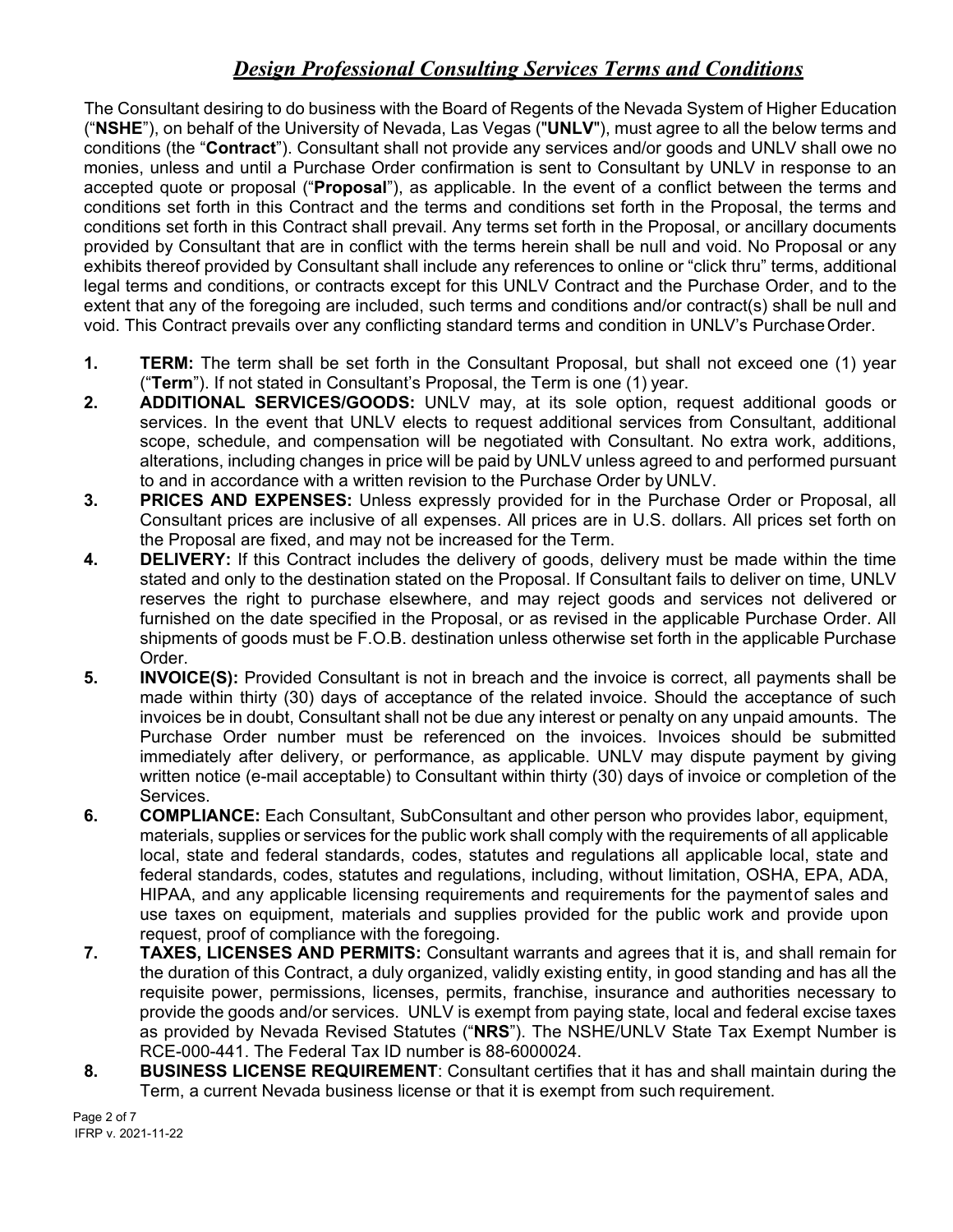## *Design Professional Consulting Services Terms and Conditions*

The Consultant desiring to do business with the Board of Regents of the Nevada System of Higher Education ("**NSHE**"), on behalf of the University of Nevada, Las Vegas ("**UNLV**"), must agree to all the below terms and conditions (the "**Contract**"). Consultant shall not provide any services and/or goods and UNLV shall owe no monies, unless and until a Purchase Order confirmation is sent to Consultant by UNLV in response to an accepted quote or proposal ("**Proposal**"), as applicable. In the event of a conflict between the terms and conditions set forth in this Contract and the terms and conditions set forth in the Proposal, the terms and conditions set forth in this Contract shall prevail. Any terms set forth in the Proposal, or ancillary documents provided by Consultant that are in conflict with the terms herein shall be null and void. No Proposal or any exhibits thereof provided by Consultant shall include any references to online or "click thru" terms, additional legal terms and conditions, or contracts except for this UNLV Contract and the Purchase Order, and to the extent that any of the foregoing are included, such terms and conditions and/or contract(s) shall be null and void. This Contract prevails over any conflicting standard terms and condition in UNLV's Purchase Order.

- **1. TERM:** The term shall be set forth in the Consultant Proposal, but shall not exceed one (1) year ("**Term**"). If not stated in Consultant's Proposal, the Term is one (1) year.
- **2. ADDITIONAL SERVICES/GOODS:** UNLV may, at its sole option, request additional goods or services. In the event that UNLV elects to request additional services from Consultant, additional scope, schedule, and compensation will be negotiated with Consultant. No extra work, additions, alterations, including changes in price will be paid by UNLV unless agreed to and performed pursuant to and in accordance with a written revision to the Purchase Order by UNLV.
- **3. PRICES AND EXPENSES:** Unless expressly provided for in the Purchase Order or Proposal, all Consultant prices are inclusive of all expenses. All prices are in U.S. dollars. All prices set forth on the Proposal are fixed, and may not be increased for the Term.
- **4. DELIVERY:** If this Contract includes the delivery of goods, delivery must be made within the time stated and only to the destination stated on the Proposal. If Consultant fails to deliver on time, UNLV reserves the right to purchase elsewhere, and may reject goods and services not delivered or furnished on the date specified in the Proposal, or as revised in the applicable Purchase Order. All shipments of goods must be F.O.B. destination unless otherwise set forth in the applicable Purchase Order.
- **5. INVOICE(S):** Provided Consultant is not in breach and the invoice is correct, all payments shall be made within thirty (30) days of acceptance of the related invoice. Should the acceptance of such invoices be in doubt, Consultant shall not be due any interest or penalty on any unpaid amounts. The Purchase Order number must be referenced on the invoices. Invoices should be submitted immediately after delivery, or performance, as applicable. UNLV may dispute payment by giving written notice (e-mail acceptable) to Consultant within thirty (30) days of invoice or completion of the Services.
- **6. COMPLIANCE:** Each Consultant, SubConsultant and other person who provides labor, equipment, materials, supplies or services for the public work shall comply with the requirements of all applicable local, state and federal standards, codes, statutes and regulations all applicable local, state and federal standards, codes, statutes and regulations, including, without limitation, OSHA, EPA, ADA, HIPAA, and any applicable licensing requirements and requirements for the paymentof sales and use taxes on equipment, materials and supplies provided for the public work and provide upon request, proof of compliance with the foregoing.
- **7. TAXES, LICENSES AND PERMITS:** Consultant warrants and agrees that it is, and shall remain for the duration of this Contract, a duly organized, validly existing entity, in good standing and has all the requisite power, permissions, licenses, permits, franchise, insurance and authorities necessary to provide the goods and/or services. UNLV is exempt from paying state, local and federal excise taxes as provided by Nevada Revised Statutes ("**NRS**"). The NSHE/UNLV State Tax Exempt Number is RCE-000-441. The Federal Tax ID number is 88-6000024.
- **8. BUSINESS LICENSE REQUIREMENT**: Consultant certifies that it has and shall maintain during the Term, a current Nevada business license or that it is exempt from such requirement.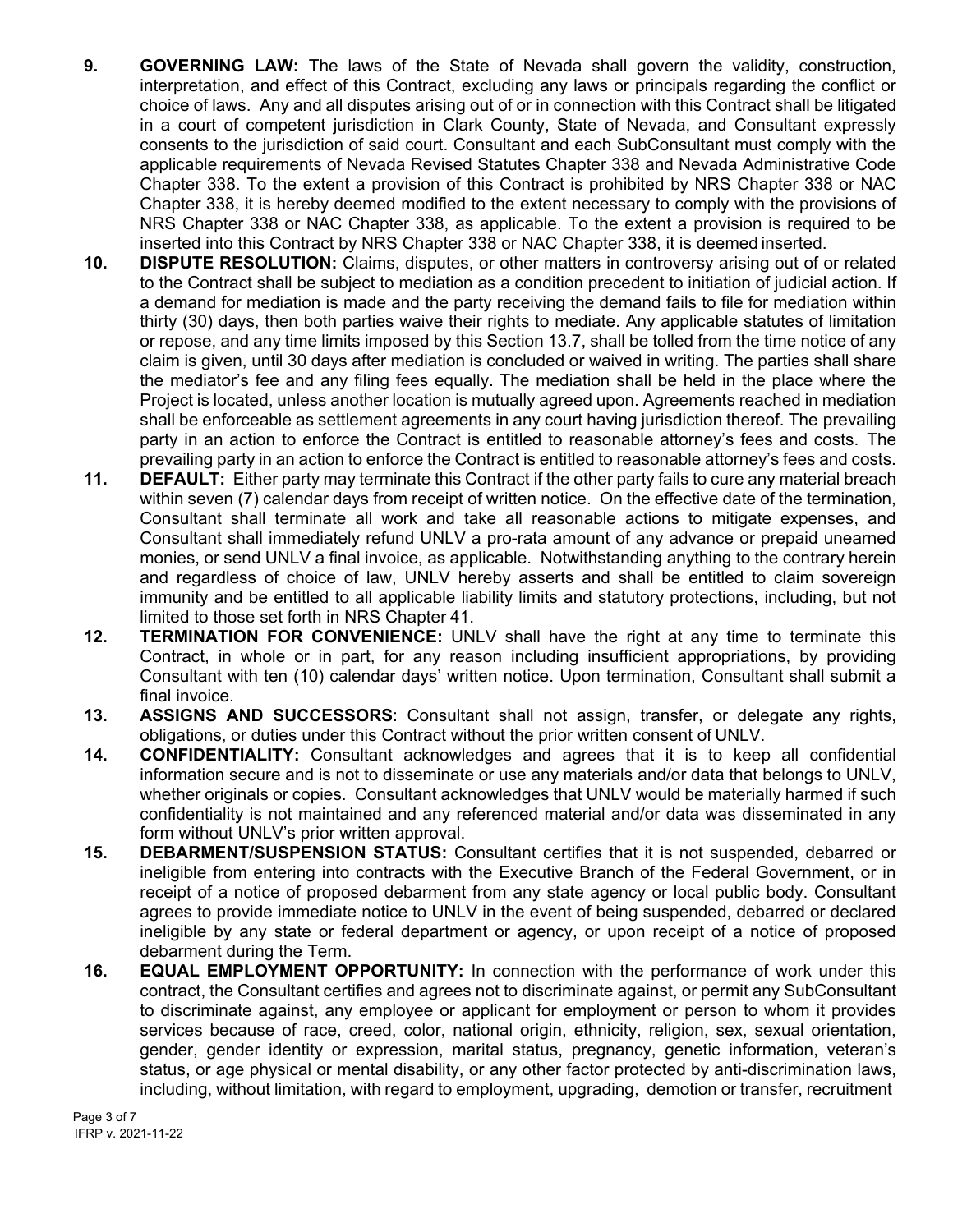- **9. GOVERNING LAW:** The laws of the State of Nevada shall govern the validity, construction, interpretation, and effect of this Contract, excluding any laws or principals regarding the conflict or choice of laws. Any and all disputes arising out of or in connection with this Contract shall be litigated in a court of competent jurisdiction in Clark County, State of Nevada, and Consultant expressly consents to the jurisdiction of said court. Consultant and each SubConsultant must comply with the applicable requirements of Nevada Revised Statutes Chapter 338 and Nevada Administrative Code Chapter 338. To the extent a provision of this Contract is prohibited by NRS Chapter 338 or NAC Chapter 338, it is hereby deemed modified to the extent necessary to comply with the provisions of NRS Chapter 338 or NAC Chapter 338, as applicable. To the extent a provision is required to be inserted into this Contract by NRS Chapter 338 or NAC Chapter 338, it is deemed inserted.
- **10. DISPUTE RESOLUTION:** Claims, disputes, or other matters in controversy arising out of or related to the Contract shall be subject to mediation as a condition precedent to initiation of judicial action. If a demand for mediation is made and the party receiving the demand fails to file for mediation within thirty (30) days, then both parties waive their rights to mediate. Any applicable statutes of limitation or repose, and any time limits imposed by this Section 13.7, shall be tolled from the time notice of any claim is given, until 30 days after mediation is concluded or waived in writing. The parties shall share the mediator's fee and any filing fees equally. The mediation shall be held in the place where the Project is located, unless another location is mutually agreed upon. Agreements reached in mediation shall be enforceable as settlement agreements in any court having jurisdiction thereof. The prevailing party in an action to enforce the Contract is entitled to reasonable attorney's fees and costs. The prevailing party in an action to enforce the Contract is entitled to reasonable attorney's fees and costs.
- **11. DEFAULT:** Either party may terminate this Contract if the other party fails to cure any material breach within seven (7) calendar days from receipt of written notice. On the effective date of the termination, Consultant shall terminate all work and take all reasonable actions to mitigate expenses, and Consultant shall immediately refund UNLV a pro-rata amount of any advance or prepaid unearned monies, or send UNLV a final invoice, as applicable. Notwithstanding anything to the contrary herein and regardless of choice of law, UNLV hereby asserts and shall be entitled to claim sovereign immunity and be entitled to all applicable liability limits and statutory protections, including, but not limited to those set forth in NRS Chapter 41.
- **12. TERMINATION FOR CONVENIENCE:** UNLV shall have the right at any time to terminate this Contract, in whole or in part, for any reason including insufficient appropriations, by providing Consultant with ten (10) calendar days' written notice. Upon termination, Consultant shall submit a final invoice.
- **13. ASSIGNS AND SUCCESSORS**: Consultant shall not assign, transfer, or delegate any rights, obligations, or duties under this Contract without the prior written consent of UNLV.
- **14. CONFIDENTIALITY:** Consultant acknowledges and agrees that it is to keep all confidential information secure and is not to disseminate or use any materials and/or data that belongs to UNLV, whether originals or copies. Consultant acknowledges that UNLV would be materially harmed if such confidentiality is not maintained and any referenced material and/or data was disseminated in any form without UNLV's prior written approval.
- **15. DEBARMENT/SUSPENSION STATUS:** Consultant certifies that it is not suspended, debarred or ineligible from entering into contracts with the Executive Branch of the Federal Government, or in receipt of a notice of proposed debarment from any state agency or local public body. Consultant agrees to provide immediate notice to UNLV in the event of being suspended, debarred or declared ineligible by any state or federal department or agency, or upon receipt of a notice of proposed debarment during the Term.
- **16. EQUAL EMPLOYMENT OPPORTUNITY:** In connection with the performance of work under this contract, the Consultant certifies and agrees not to discriminate against, or permit any SubConsultant to discriminate against, any employee or applicant for employment or person to whom it provides services because of race, creed, color, national origin, ethnicity, religion, sex, sexual orientation, gender, gender identity or expression, marital status, pregnancy, genetic information, veteran's status, or age physical or mental disability, or any other factor protected by anti-discrimination laws, including, without limitation, with regard to employment, upgrading, demotion or transfer, recruitment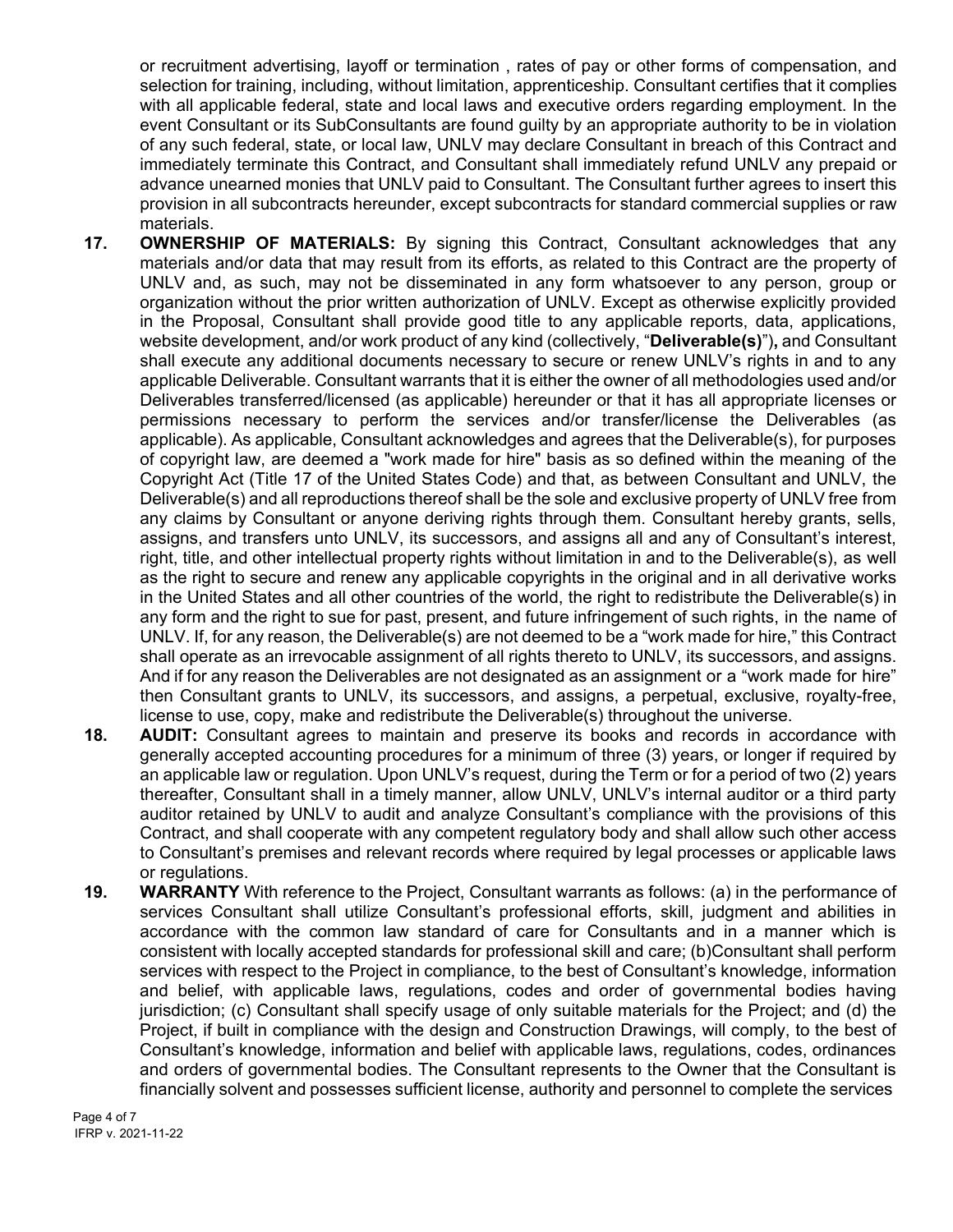or recruitment advertising, layoff or termination , rates of pay or other forms of compensation, and selection for training, including, without limitation, apprenticeship. Consultant certifies that it complies with all applicable federal, state and local laws and executive orders regarding employment. In the event Consultant or its SubConsultants are found guilty by an appropriate authority to be in violation of any such federal, state, or local law, UNLV may declare Consultant in breach of this Contract and immediately terminate this Contract, and Consultant shall immediately refund UNLV any prepaid or advance unearned monies that UNLV paid to Consultant. The Consultant further agrees to insert this provision in all subcontracts hereunder, except subcontracts for standard commercial supplies or raw materials.

- **17. OWNERSHIP OF MATERIALS:** By signing this Contract, Consultant acknowledges that any materials and/or data that may result from its efforts, as related to this Contract are the property of UNLV and, as such, may not be disseminated in any form whatsoever to any person, group or organization without the prior written authorization of UNLV. Except as otherwise explicitly provided in the Proposal, Consultant shall provide good title to any applicable reports, data, applications, website development, and/or work product of any kind (collectively, "**Deliverable(s)**")**,** and Consultant shall execute any additional documents necessary to secure or renew UNLV's rights in and to any applicable Deliverable. Consultant warrants that it is either the owner of all methodologies used and/or Deliverables transferred/licensed (as applicable) hereunder or that it has all appropriate licenses or permissions necessary to perform the services and/or transfer/license the Deliverables (as applicable). As applicable, Consultant acknowledges and agrees that the Deliverable(s), for purposes of copyright law, are deemed a "work made for hire" basis as so defined within the meaning of the Copyright Act (Title 17 of the United States Code) and that, as between Consultant and UNLV, the Deliverable(s) and all reproductions thereof shall be the sole and exclusive property of UNLV free from any claims by Consultant or anyone deriving rights through them. Consultant hereby grants, sells, assigns, and transfers unto UNLV, its successors, and assigns all and any of Consultant's interest, right, title, and other intellectual property rights without limitation in and to the Deliverable(s), as well as the right to secure and renew any applicable copyrights in the original and in all derivative works in the United States and all other countries of the world, the right to redistribute the Deliverable(s) in any form and the right to sue for past, present, and future infringement of such rights, in the name of UNLV. If, for any reason, the Deliverable(s) are not deemed to be a "work made for hire," this Contract shall operate as an irrevocable assignment of all rights thereto to UNLV, its successors, and assigns. And if for any reason the Deliverables are not designated as an assignment or a "work made for hire" then Consultant grants to UNLV, its successors, and assigns, a perpetual, exclusive, royalty-free, license to use, copy, make and redistribute the Deliverable(s) throughout the universe.
- **18. AUDIT:** Consultant agrees to maintain and preserve its books and records in accordance with generally accepted accounting procedures for a minimum of three (3) years, or longer if required by an applicable law or regulation. Upon UNLV's request, during the Term or for a period of two (2) years thereafter, Consultant shall in a timely manner, allow UNLV, UNLV's internal auditor or a third party auditor retained by UNLV to audit and analyze Consultant's compliance with the provisions of this Contract, and shall cooperate with any competent regulatory body and shall allow such other access to Consultant's premises and relevant records where required by legal processes or applicable laws or regulations.
- **19. WARRANTY** With reference to the Project, Consultant warrants as follows: (a) in the performance of services Consultant shall utilize Consultant's professional efforts, skill, judgment and abilities in accordance with the common law standard of care for Consultants and in a manner which is consistent with locally accepted standards for professional skill and care; (b)Consultant shall perform services with respect to the Project in compliance, to the best of Consultant's knowledge, information and belief, with applicable laws, regulations, codes and order of governmental bodies having jurisdiction; (c) Consultant shall specify usage of only suitable materials for the Project; and (d) the Project, if built in compliance with the design and Construction Drawings, will comply, to the best of Consultant's knowledge, information and belief with applicable laws, regulations, codes, ordinances and orders of governmental bodies. The Consultant represents to the Owner that the Consultant is financially solvent and possesses sufficient license, authority and personnel to complete the services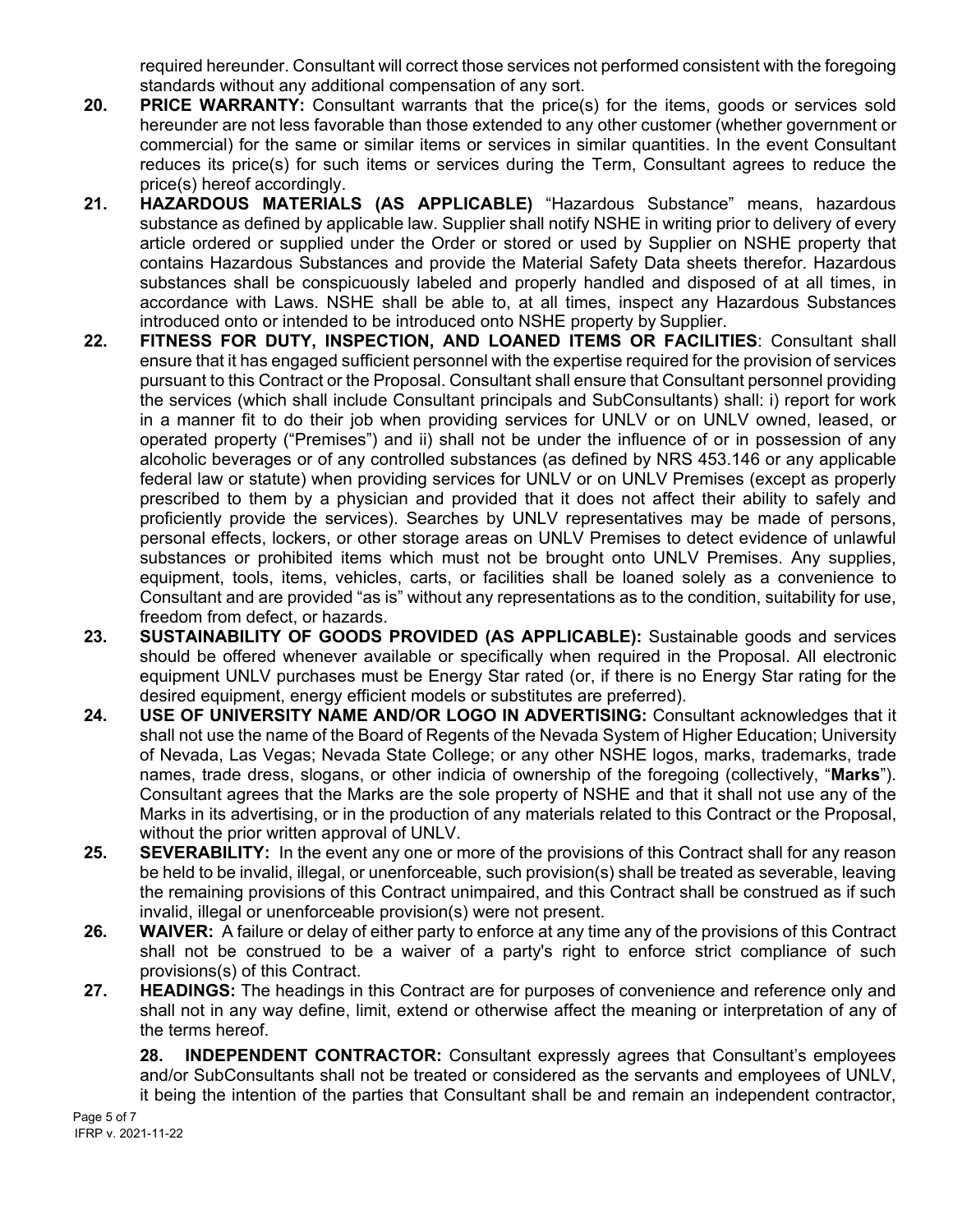required hereunder. Consultant will correct those services not performed consistent with the foregoing standards without any additional compensation of any sort.

- **20. PRICE WARRANTY:** Consultant warrants that the price(s) for the items, goods or services sold hereunder are not less favorable than those extended to any other customer (whether government or commercial) for the same or similar items or services in similar quantities. In the event Consultant reduces its price(s) for such items or services during the Term, Consultant agrees to reduce the price(s) hereof accordingly.
- **21. HAZARDOUS MATERIALS (AS APPLICABLE)** "Hazardous Substance" means, hazardous substance as defined by applicable law. Supplier shall notify NSHE in writing prior to delivery of every article ordered or supplied under the Order or stored or used by Supplier on NSHE property that contains Hazardous Substances and provide the Material Safety Data sheets therefor. Hazardous substances shall be conspicuously labeled and properly handled and disposed of at all times, in accordance with Laws. NSHE shall be able to, at all times, inspect any Hazardous Substances introduced onto or intended to be introduced onto NSHE property by Supplier.
- **22. FITNESS FOR DUTY, INSPECTION, AND LOANED ITEMS OR FACILITIES**: Consultant shall ensure that it has engaged sufficient personnel with the expertise required for the provision of services pursuant to this Contract or the Proposal. Consultant shall ensure that Consultant personnel providing the services (which shall include Consultant principals and SubConsultants) shall: i) report for work in a manner fit to do their job when providing services for UNLV or on UNLV owned, leased, or operated property ("Premises") and ii) shall not be under the influence of or in possession of any alcoholic beverages or of any controlled substances (as defined by NRS 453.146 or any applicable federal law or statute) when providing services for UNLV or on UNLV Premises (except as properly prescribed to them by a physician and provided that it does not affect their ability to safely and proficiently provide the services). Searches by UNLV representatives may be made of persons, personal effects, lockers, or other storage areas on UNLV Premises to detect evidence of unlawful substances or prohibited items which must not be brought onto UNLV Premises. Any supplies, equipment, tools, items, vehicles, carts, or facilities shall be loaned solely as a convenience to Consultant and are provided "as is" without any representations as to the condition, suitability for use, freedom from defect, or hazards.
- **23. SUSTAINABILITY OF GOODS PROVIDED (AS APPLICABLE):** Sustainable goods and services should be offered whenever available or specifically when required in the Proposal. All electronic equipment UNLV purchases must be Energy Star rated (or, if there is no Energy Star rating for the desired equipment, energy efficient models or substitutes are preferred).
- **24. USE OF UNIVERSITY NAME AND/OR LOGO IN ADVERTISING:** Consultant acknowledges that it shall not use the name of the Board of Regents of the Nevada System of Higher Education; University of Nevada, Las Vegas; Nevada State College; or any other NSHE logos, marks, trademarks, trade names, trade dress, slogans, or other indicia of ownership of the foregoing (collectively, "**Marks**"). Consultant agrees that the Marks are the sole property of NSHE and that it shall not use any of the Marks in its advertising, or in the production of any materials related to this Contract or the Proposal, without the prior written approval of UNLV.
- **25. SEVERABILITY:** In the event any one or more of the provisions of this Contract shall for any reason be held to be invalid, illegal, or unenforceable, such provision(s) shall be treated as severable, leaving the remaining provisions of this Contract unimpaired, and this Contract shall be construed as if such invalid, illegal or unenforceable provision(s) were not present.
- **26. WAIVER:** A failure or delay of either party to enforce at any time any of the provisions of this Contract shall not be construed to be a waiver of a party's right to enforce strict compliance of such provisions(s) of this Contract.
- **27. HEADINGS:** The headings in this Contract are for purposes of convenience and reference only and shall not in any way define, limit, extend or otherwise affect the meaning or interpretation of any of the terms hereof.

**28. INDEPENDENT CONTRACTOR:** Consultant expressly agrees that Consultant's employees and/or SubConsultants shall not be treated or considered as the servants and employees of UNLV, it being the intention of the parties that Consultant shall be and remain an independent contractor,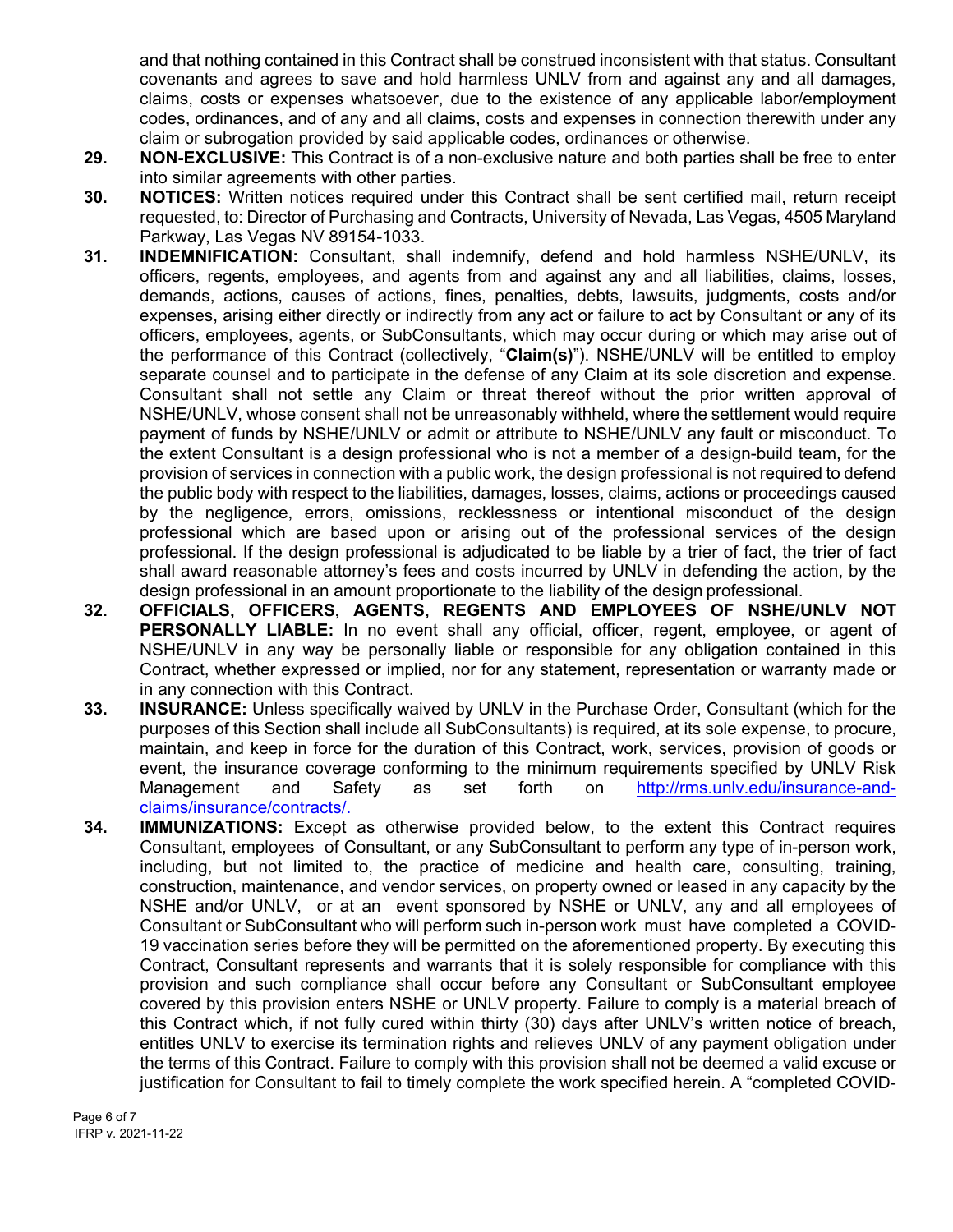and that nothing contained in this Contract shall be construed inconsistent with that status. Consultant covenants and agrees to save and hold harmless UNLV from and against any and all damages, claims, costs or expenses whatsoever, due to the existence of any applicable labor/employment codes, ordinances, and of any and all claims, costs and expenses in connection therewith under any claim or subrogation provided by said applicable codes, ordinances or otherwise.

- **29. NON-EXCLUSIVE:** This Contract is of a non-exclusive nature and both parties shall be free to enter into similar agreements with other parties.
- **30. NOTICES:** Written notices required under this Contract shall be sent certified mail, return receipt requested, to: Director of Purchasing and Contracts, University of Nevada, Las Vegas, 4505 Maryland Parkway, Las Vegas NV 89154-1033.
- **31. INDEMNIFICATION:** Consultant, shall indemnify, defend and hold harmless NSHE/UNLV, its officers, regents, employees, and agents from and against any and all liabilities, claims, losses, demands, actions, causes of actions, fines, penalties, debts, lawsuits, judgments, costs and/or expenses, arising either directly or indirectly from any act or failure to act by Consultant or any of its officers, employees, agents, or SubConsultants, which may occur during or which may arise out of the performance of this Contract (collectively, "**Claim(s)**"). NSHE/UNLV will be entitled to employ separate counsel and to participate in the defense of any Claim at its sole discretion and expense. Consultant shall not settle any Claim or threat thereof without the prior written approval of NSHE/UNLV, whose consent shall not be unreasonably withheld, where the settlement would require payment of funds by NSHE/UNLV or admit or attribute to NSHE/UNLV any fault or misconduct. To the extent Consultant is a design professional who is not a member of a design-build team, for the provision of services in connection with a public work, the design professional is not required to defend the public body with respect to the liabilities, damages, losses, claims, actions or proceedings caused by the negligence, errors, omissions, recklessness or intentional misconduct of the design professional which are based upon or arising out of the professional services of the design professional. If the design professional is adjudicated to be liable by a trier of fact, the trier of fact shall award reasonable attorney's fees and costs incurred by UNLV in defending the action, by the design professional in an amount proportionate to the liability of the design professional.
- **32. OFFICIALS, OFFICERS, AGENTS, REGENTS AND EMPLOYEES OF NSHE/UNLV NOT PERSONALLY LIABLE:** In no event shall any official, officer, regent, employee, or agent of NSHE/UNLV in any way be personally liable or responsible for any obligation contained in this Contract, whether expressed or implied, nor for any statement, representation or warranty made or in any connection with this Contract.
- **33. INSURANCE:** Unless specifically waived by UNLV in the Purchase Order, Consultant (which for the purposes of this Section shall include all SubConsultants) is required, at its sole expense, to procure, maintain, and keep in force for the duration of this Contract, work, services, provision of goods or event, the insurance coverage conforming to the minimum requirements specified by UNLV Risk Management and Safety as set forth on [http://rms.unlv.edu/insurance-and](http://rms.unlv.edu/insurance-and-claims/insurance/contracts/)[claims/insurance/contracts/.](http://rms.unlv.edu/insurance-and-claims/insurance/contracts/)
- **34. IMMUNIZATIONS:** Except as otherwise provided below, to the extent this Contract requires Consultant, employees of Consultant, or any SubConsultant to perform any type of in-person work, including, but not limited to, the practice of medicine and health care, consulting, training, construction, maintenance, and vendor services, on property owned or leased in any capacity by the NSHE and/or UNLV, or at an event sponsored by NSHE or UNLV, any and all employees of Consultant or SubConsultant who will perform such in-person work must have completed a COVID-19 vaccination series before they will be permitted on the aforementioned property. By executing this Contract, Consultant represents and warrants that it is solely responsible for compliance with this provision and such compliance shall occur before any Consultant or SubConsultant employee covered by this provision enters NSHE or UNLV property. Failure to comply is a material breach of this Contract which, if not fully cured within thirty (30) days after UNLV's written notice of breach, entitles UNLV to exercise its termination rights and relieves UNLV of any payment obligation under the terms of this Contract. Failure to comply with this provision shall not be deemed a valid excuse or justification for Consultant to fail to timely complete the work specified herein. A "completed COVID-